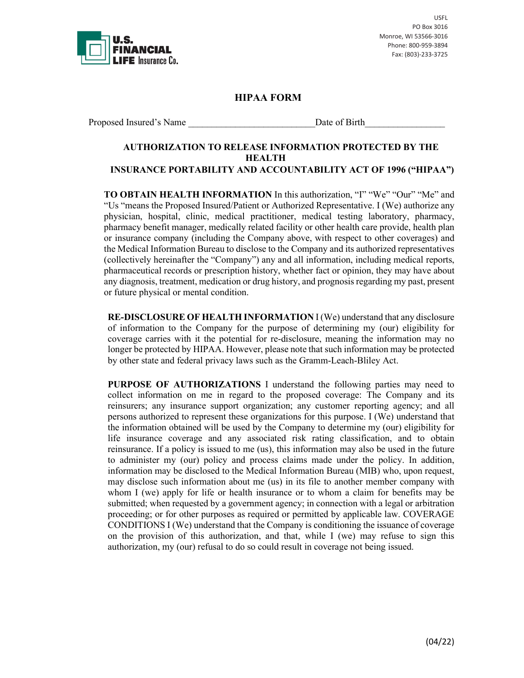

USFL PO Box 3016 Monroe, WI 53566-3016 Phone: 800-959-3894 Fax: (803)-233-3725

## **HIPAA FORM**

Proposed Insured's Name Date of Birth

## **AUTHORIZATION TO RELEASE INFORMATION PROTECTED BY THE HEALTH INSURANCE PORTABILITY AND ACCOUNTABILITY ACT OF 1996 ("HIPAA")**

**TO OBTAIN HEALTH INFORMATION** In this authorization, "I" "We" "Our" "Me" and "Us "means the Proposed Insured/Patient or Authorized Representative. I (We) authorize any physician, hospital, clinic, medical practitioner, medical testing laboratory, pharmacy, pharmacy benefit manager, medically related facility or other health care provide, health plan or insurance company (including the Company above, with respect to other coverages) and the Medical Information Bureau to disclose to the Company and its authorized representatives (collectively hereinafter the "Company") any and all information, including medical reports, pharmaceutical records or prescription history, whether fact or opinion, they may have about any diagnosis, treatment, medication or drug history, and prognosis regarding my past, present or future physical or mental condition.

**RE-DISCLOSURE OF HEALTH INFORMATION** I (We) understand that any disclosure of information to the Company for the purpose of determining my (our) eligibility for coverage carries with it the potential for re-disclosure, meaning the information may no longer be protected by HIPAA. However, please note that such information may be protected by other state and federal privacy laws such as the Gramm-Leach-Bliley Act.

**PURPOSE OF AUTHORIZATIONS** I understand the following parties may need to collect information on me in regard to the proposed coverage: The Company and its reinsurers; any insurance support organization; any customer reporting agency; and all persons authorized to represent these organizations for this purpose. I (We) understand that the information obtained will be used by the Company to determine my (our) eligibility for life insurance coverage and any associated risk rating classification, and to obtain reinsurance. If a policy is issued to me (us), this information may also be used in the future to administer my (our) policy and process claims made under the policy. In addition, information may be disclosed to the Medical Information Bureau (MIB) who, upon request, may disclose such information about me (us) in its file to another member company with whom I (we) apply for life or health insurance or to whom a claim for benefits may be submitted; when requested by a government agency; in connection with a legal or arbitration proceeding; or for other purposes as required or permitted by applicable law. COVERAGE CONDITIONS I (We) understand that the Company is conditioning the issuance of coverage on the provision of this authorization, and that, while I (we) may refuse to sign this authorization, my (our) refusal to do so could result in coverage not being issued.